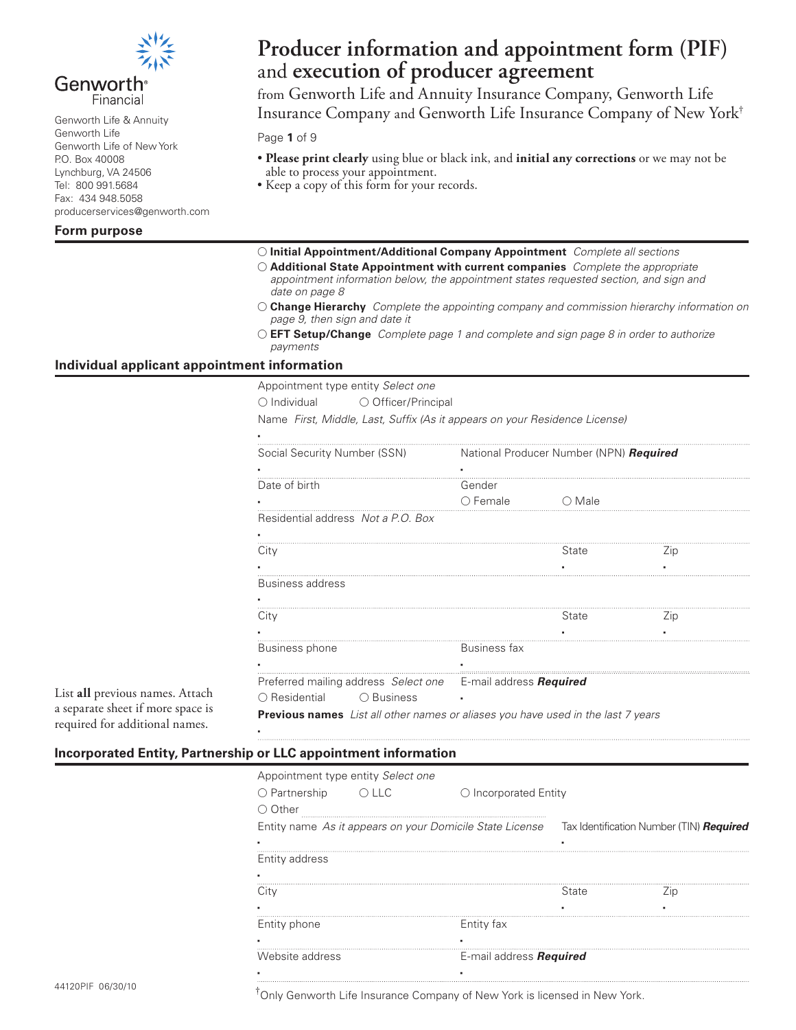

## Genworth<sup>®</sup> Financial

Genworth Life & Annuity Genworth Life Genworth Life of New York P.O. Box 40008 Lynchburg, VA 24506 Tel: 800 991.5684 Fax: 434 948.5058 producerservices@genworth.com

### **Form purpose**

# **Producer information and appointment form (PIF)** and **execution of producer agreement**

from Genworth Life and Annuity Insurance Company, Genworth Life Insurance Company and Genworth Life Insurance Company of New York†

#### Page **1** of 9

- **Please print clearly** using blue or black ink, and **initial any corrections** or we may not be able to process your appointment.
- Keep a copy of this form for your records.
- **Initial Appointment/Additional Company Appointment** *Complete all sections*
- **Additional State Appointment with current companies** *Complete the appropriate appointment information below, the appointment states requested section, and sign and date on page 8*
- **Change Hierarchy** *Complete the appointing company and commission hierarchy information on page 9, then sign and date it*
- **EFT Setup/Change** *Complete page 1 and complete and sign page 8 in order to authorize payments*

### **Individual applicant appointment information**

Appointment type entity *Select one*

○ Individual ○ Officer/Principal

Name *First, Middle, Last, Suffix (As it appears on your Residence License)*

| National Producer Number (NPN) Required |                 |                                                                                                                                                         |  |
|-----------------------------------------|-----------------|---------------------------------------------------------------------------------------------------------------------------------------------------------|--|
|                                         |                 |                                                                                                                                                         |  |
| Gender                                  |                 |                                                                                                                                                         |  |
| $\bigcirc$ Female                       | $\bigcirc$ Male |                                                                                                                                                         |  |
|                                         |                 |                                                                                                                                                         |  |
|                                         |                 |                                                                                                                                                         |  |
|                                         | State           | $\angle$ ip                                                                                                                                             |  |
|                                         |                 |                                                                                                                                                         |  |
|                                         |                 |                                                                                                                                                         |  |
|                                         |                 |                                                                                                                                                         |  |
|                                         | State           | $\angle$ ip                                                                                                                                             |  |
|                                         |                 |                                                                                                                                                         |  |
| Business fax                            |                 |                                                                                                                                                         |  |
|                                         |                 |                                                                                                                                                         |  |
|                                         |                 |                                                                                                                                                         |  |
|                                         |                 |                                                                                                                                                         |  |
|                                         |                 |                                                                                                                                                         |  |
|                                         |                 | Preferred mailing address Select one E-mail address Required<br><b>Previous names</b> List all other names or aliases you have used in the last 7 years |  |

# **Incorporated Entity, Partnership or LLC appointment information**

▪

| Appointment type entity Select one |       |                                                          |       |                                          |
|------------------------------------|-------|----------------------------------------------------------|-------|------------------------------------------|
| $\bigcirc$ Partnership             | O LLC | $\bigcirc$ Incorporated Entity                           |       |                                          |
| Other                              |       |                                                          |       |                                          |
|                                    |       | Entity name As it appears on your Domicile State License |       | Tax Identification Number (TIN) Required |
|                                    |       |                                                          |       |                                          |
| Entity address                     |       |                                                          |       |                                          |
|                                    |       |                                                          |       |                                          |
| City                               |       |                                                          | State | ∠ın                                      |
|                                    |       |                                                          |       |                                          |
| Entity phone                       |       | Entity fax                                               |       |                                          |
|                                    |       |                                                          |       |                                          |
| Website address                    |       | E-mail address Required                                  |       |                                          |
|                                    |       |                                                          |       |                                          |

List **all** previous names. Attach a separate sheet if more space is required for additional names.

<sup>†</sup>Only Genworth Life Insurance Company of New York is licensed in New York.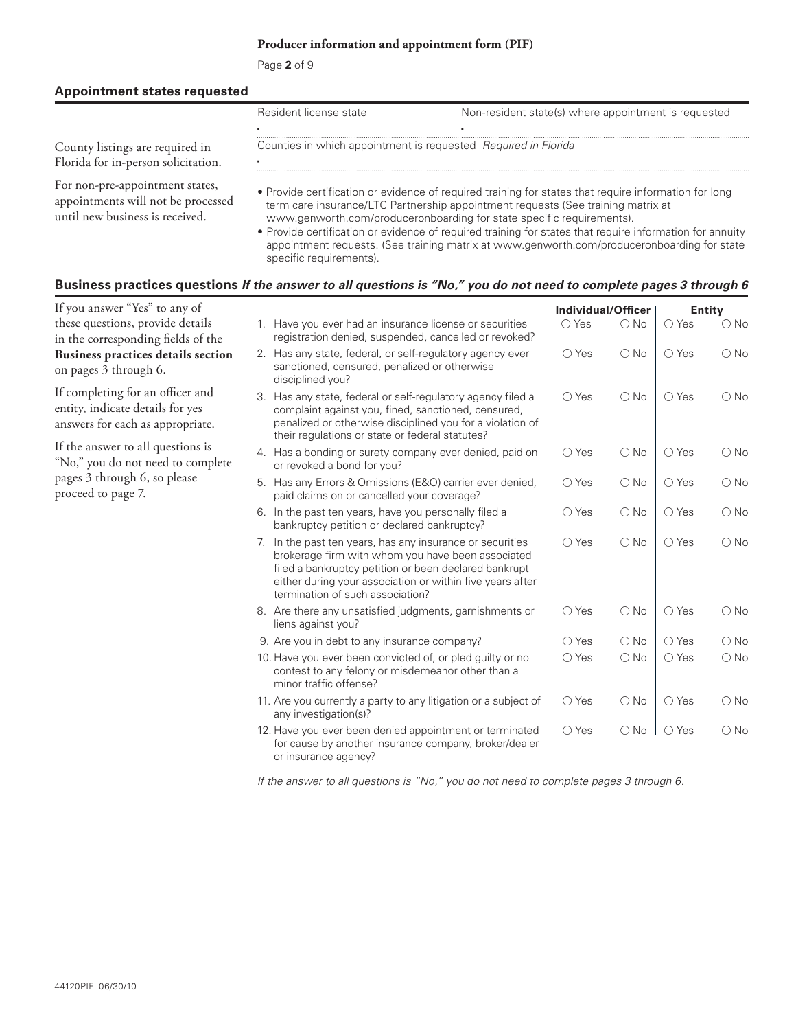Page **2** of 9

#### **Appointment states requested**

|                                     | Resident license state | Non-resident state(s) where appointment is requested           |
|-------------------------------------|------------------------|----------------------------------------------------------------|
|                                     |                        |                                                                |
| County listings are required in     |                        | Counties in which appointment is requested Required in Florida |
| Florida for in-person solicitation. |                        |                                                                |
|                                     |                        |                                                                |

For non-pre-appointment states, appointments will not be processed until new business is received.

- Provide certification or evidence of required training for states that require information for long term care insurance/LTC Partnership appointment requests (See training matrix at www.genworth.com/produceronboarding for state specific requirements).
- Provide certification or evidence of required training for states that require information for annuity appointment requests. (See training matrix at www.genworth.com/produceronboarding for state specific requirements).

#### **Business practices questions** *If the answer to all questions is "No," you do not need to complete pages 3 through 6*

| If you answer "Yes" to any of                                                                            |    |                                                                                                                                                                                                                                                                       | Individual/Officer |               |                | <b>Entity</b> |
|----------------------------------------------------------------------------------------------------------|----|-----------------------------------------------------------------------------------------------------------------------------------------------------------------------------------------------------------------------------------------------------------------------|--------------------|---------------|----------------|---------------|
| these questions, provide details<br>in the corresponding fields of the                                   |    | 1. Have you ever had an insurance license or securities<br>registration denied, suspended, cancelled or revoked?                                                                                                                                                      | $\bigcirc$ Yes     | $\bigcirc$ No | $\bigcirc$ Yes | $\bigcirc$ No |
| Business practices details section<br>on pages 3 through 6.                                              |    | 2. Has any state, federal, or self-regulatory agency ever<br>sanctioned, censured, penalized or otherwise<br>disciplined you?                                                                                                                                         | $\bigcirc$ Yes     | $\bigcirc$ No | $\bigcirc$ Yes | $\bigcirc$ No |
| If completing for an officer and<br>entity, indicate details for yes<br>answers for each as appropriate. |    | 3. Has any state, federal or self-regulatory agency filed a<br>complaint against you, fined, sanctioned, censured,<br>penalized or otherwise disciplined you for a violation of<br>their regulations or state or federal statutes?                                    | $\bigcirc$ Yes     | $\bigcirc$ No | $\bigcirc$ Yes | $\bigcirc$ No |
| If the answer to all questions is<br>"No," you do not need to complete                                   |    | 4. Has a bonding or surety company ever denied, paid on<br>or revoked a bond for you?                                                                                                                                                                                 | $\bigcirc$ Yes     | $\bigcirc$ No | $\bigcirc$ Yes | $\bigcirc$ No |
| pages 3 through 6, so please<br>proceed to page 7.                                                       |    | 5. Has any Errors & Omissions (E&O) carrier ever denied,<br>paid claims on or cancelled your coverage?                                                                                                                                                                | $\bigcirc$ Yes     | $\bigcirc$ No | $\bigcirc$ Yes | $\bigcirc$ No |
|                                                                                                          |    | 6. In the past ten years, have you personally filed a<br>bankruptcy petition or declared bankruptcy?                                                                                                                                                                  | $\bigcirc$ Yes     | $\bigcirc$ No | $\bigcirc$ Yes | $\bigcirc$ No |
|                                                                                                          | 7. | In the past ten years, has any insurance or securities<br>brokerage firm with whom you have been associated<br>filed a bankruptcy petition or been declared bankrupt<br>either during your association or within five years after<br>termination of such association? | $\bigcirc$ Yes     | $\bigcirc$ No | $\bigcirc$ Yes | $\bigcirc$ No |
|                                                                                                          |    | 8. Are there any unsatisfied judgments, garnishments or<br>liens against you?                                                                                                                                                                                         | $\bigcirc$ Yes     | $\bigcirc$ No | $\bigcirc$ Yes | $\bigcirc$ No |
|                                                                                                          |    | 9. Are you in debt to any insurance company?                                                                                                                                                                                                                          | $\bigcirc$ Yes     | $\bigcirc$ No | $\bigcirc$ Yes | $\bigcirc$ No |
|                                                                                                          |    | 10. Have you ever been convicted of, or pled guilty or no<br>contest to any felony or misdemeanor other than a<br>minor traffic offense?                                                                                                                              | $\bigcirc$ Yes     | $\bigcirc$ No | $\bigcirc$ Yes | $\bigcirc$ No |
|                                                                                                          |    | 11. Are you currently a party to any litigation or a subject of<br>any investigation(s)?                                                                                                                                                                              | $\bigcirc$ Yes     | $\bigcirc$ No | $\bigcirc$ Yes | $\bigcirc$ No |
|                                                                                                          |    | 12. Have you ever been denied appointment or terminated<br>for cause by another insurance company, broker/dealer<br>or insurance agency?                                                                                                                              | $\bigcirc$ Yes     | $\bigcirc$ No | $\bigcirc$ Yes | $\bigcirc$ No |

*If the answer to all questions is "No," you do not need to complete pages 3 through 6.*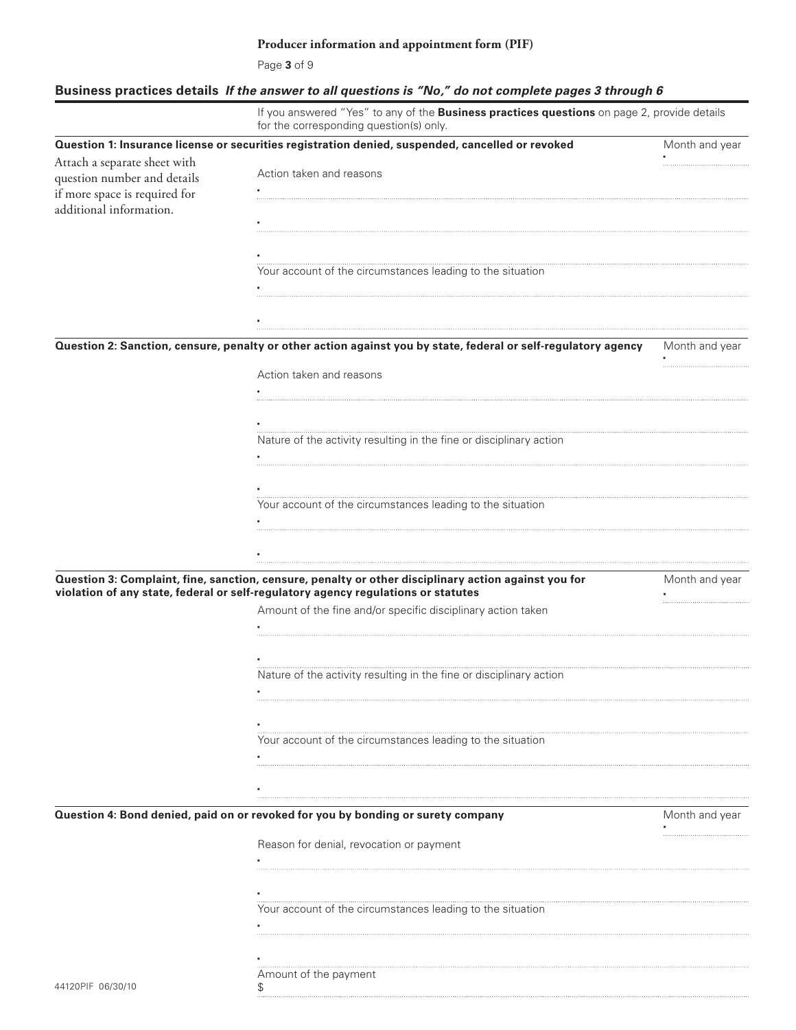Page **3** of 9

# **Business practices details** *If the answer to all questions is "No," do not complete pages 3 through 6*

|                               | If you answered "Yes" to any of the Business practices questions on page 2, provide details<br>for the corresponding question(s) only. |                |
|-------------------------------|----------------------------------------------------------------------------------------------------------------------------------------|----------------|
|                               | Question 1: Insurance license or securities registration denied, suspended, cancelled or revoked                                       | Month and year |
| Attach a separate sheet with  | Action taken and reasons                                                                                                               |                |
| question number and details   |                                                                                                                                        |                |
| if more space is required for |                                                                                                                                        |                |
| additional information.       |                                                                                                                                        |                |
|                               |                                                                                                                                        |                |
|                               |                                                                                                                                        |                |
|                               | Your account of the circumstances leading to the situation                                                                             |                |
|                               |                                                                                                                                        |                |
|                               |                                                                                                                                        |                |
|                               |                                                                                                                                        |                |
|                               |                                                                                                                                        |                |
|                               | Question 2: Sanction, censure, penalty or other action against you by state, federal or self-regulatory agency                         | Month and year |
|                               | Action taken and reasons                                                                                                               |                |
|                               |                                                                                                                                        |                |
|                               |                                                                                                                                        |                |
|                               |                                                                                                                                        |                |
|                               | Nature of the activity resulting in the fine or disciplinary action                                                                    |                |
|                               |                                                                                                                                        |                |
|                               |                                                                                                                                        |                |
|                               |                                                                                                                                        |                |
|                               | Your account of the circumstances leading to the situation                                                                             |                |
|                               |                                                                                                                                        |                |
|                               |                                                                                                                                        |                |
|                               |                                                                                                                                        |                |
|                               | Question 3: Complaint, fine, sanction, censure, penalty or other disciplinary action against you for                                   | Month and year |
|                               | violation of any state, federal or self-regulatory agency regulations or statutes                                                      |                |
|                               | Amount of the fine and/or specific disciplinary action taken                                                                           |                |
|                               |                                                                                                                                        |                |
|                               |                                                                                                                                        |                |
|                               |                                                                                                                                        |                |
|                               | Nature of the activity resulting in the fine or disciplinary action                                                                    |                |
|                               |                                                                                                                                        |                |
|                               |                                                                                                                                        |                |
|                               |                                                                                                                                        |                |
|                               | Your account of the circumstances leading to the situation                                                                             |                |
|                               |                                                                                                                                        |                |
|                               |                                                                                                                                        |                |
|                               |                                                                                                                                        |                |
|                               | Question 4: Bond denied, paid on or revoked for you by bonding or surety company                                                       | Month and year |
|                               |                                                                                                                                        |                |
|                               | Reason for denial, revocation or payment                                                                                               |                |
|                               |                                                                                                                                        |                |
|                               |                                                                                                                                        |                |
|                               |                                                                                                                                        |                |
|                               | Your account of the circumstances leading to the situation                                                                             |                |
|                               |                                                                                                                                        |                |
|                               |                                                                                                                                        |                |
|                               |                                                                                                                                        |                |
|                               | Amount of the payment                                                                                                                  |                |
| 44120PIF 06/30/10             | \$                                                                                                                                     |                |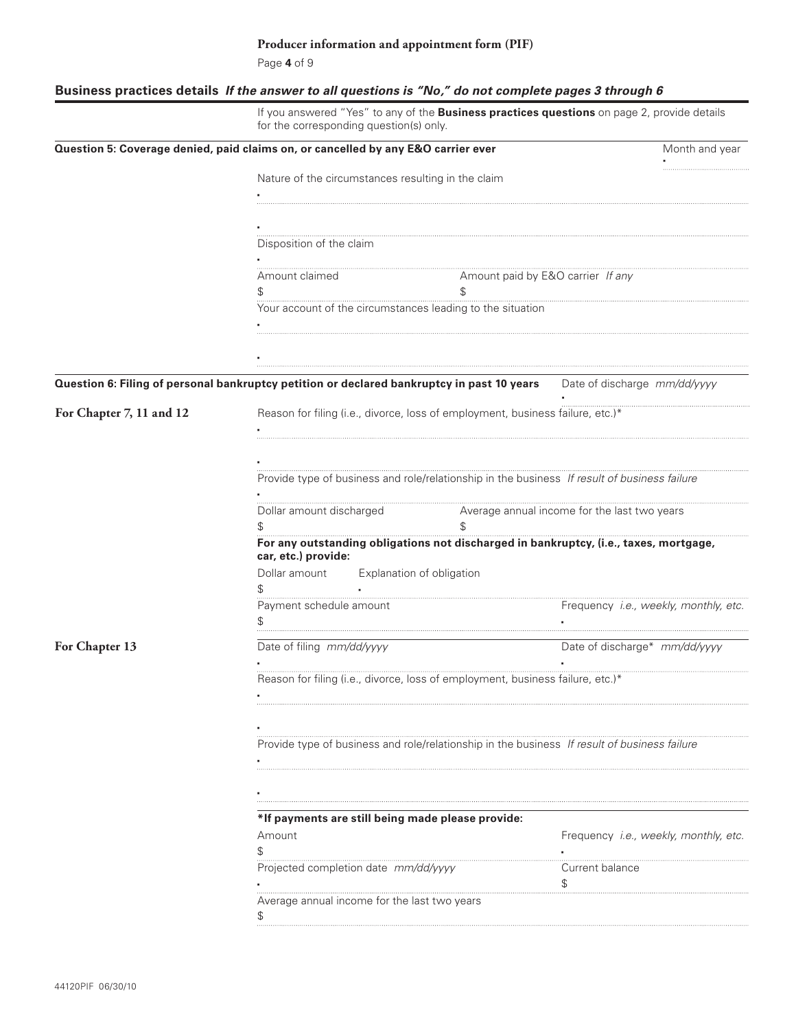Page **4** of 9

# **Business practices details** *If the answer to all questions is "No," do not complete pages 3 through 6*

|                          | If you answered "Yes" to any of the Business practices questions on page 2, provide details<br>for the corresponding question(s) only. |                                       |  |  |  |
|--------------------------|----------------------------------------------------------------------------------------------------------------------------------------|---------------------------------------|--|--|--|
|                          | Question 5: Coverage denied, paid claims on, or cancelled by any E&O carrier ever                                                      | Month and year                        |  |  |  |
|                          | Nature of the circumstances resulting in the claim                                                                                     |                                       |  |  |  |
|                          |                                                                                                                                        |                                       |  |  |  |
|                          |                                                                                                                                        |                                       |  |  |  |
|                          | Disposition of the claim                                                                                                               |                                       |  |  |  |
|                          |                                                                                                                                        |                                       |  |  |  |
|                          | Amount paid by E&O carrier If any<br>Amount claimed                                                                                    |                                       |  |  |  |
|                          | \$<br>\$                                                                                                                               |                                       |  |  |  |
|                          | Your account of the circumstances leading to the situation                                                                             |                                       |  |  |  |
|                          |                                                                                                                                        |                                       |  |  |  |
|                          |                                                                                                                                        |                                       |  |  |  |
|                          | Question 6: Filing of personal bankruptcy petition or declared bankruptcy in past 10 years Date of discharge mm/dd/yyyy                |                                       |  |  |  |
| For Chapter 7, 11 and 12 | Reason for filing (i.e., divorce, loss of employment, business failure, etc.)*                                                         |                                       |  |  |  |
|                          |                                                                                                                                        |                                       |  |  |  |
|                          |                                                                                                                                        |                                       |  |  |  |
|                          | Average annual income for the last two years<br>Dollar amount discharged                                                               |                                       |  |  |  |
|                          | \$                                                                                                                                     |                                       |  |  |  |
|                          | For any outstanding obligations not discharged in bankruptcy, (i.e., taxes, mortgage,<br>car, etc.) provide:                           |                                       |  |  |  |
|                          | Dollar amount<br>Explanation of obligation<br>\$                                                                                       |                                       |  |  |  |
|                          | Payment schedule amount                                                                                                                | Frequency i.e., weekly, monthly, etc. |  |  |  |
| For Chapter 13           | Date of filing mm/dd/yyyy                                                                                                              | Date of discharge* mm/dd/yyyy         |  |  |  |
|                          |                                                                                                                                        |                                       |  |  |  |
|                          | Reason for filing (i.e., divorce, loss of employment, business failure, etc.)*                                                         |                                       |  |  |  |
|                          |                                                                                                                                        |                                       |  |  |  |
|                          |                                                                                                                                        |                                       |  |  |  |
|                          | Provide type of business and role/relationship in the business If result of business failure                                           |                                       |  |  |  |
|                          |                                                                                                                                        |                                       |  |  |  |
|                          |                                                                                                                                        |                                       |  |  |  |
|                          |                                                                                                                                        |                                       |  |  |  |
|                          | *If payments are still being made please provide:                                                                                      |                                       |  |  |  |
|                          | Amount                                                                                                                                 | Frequency i.e., weekly, monthly, etc. |  |  |  |
|                          | Projected completion date mm/dd/yyyy                                                                                                   | Current balance                       |  |  |  |
|                          |                                                                                                                                        | \$                                    |  |  |  |
|                          | Average annual income for the last two years<br>\$                                                                                     |                                       |  |  |  |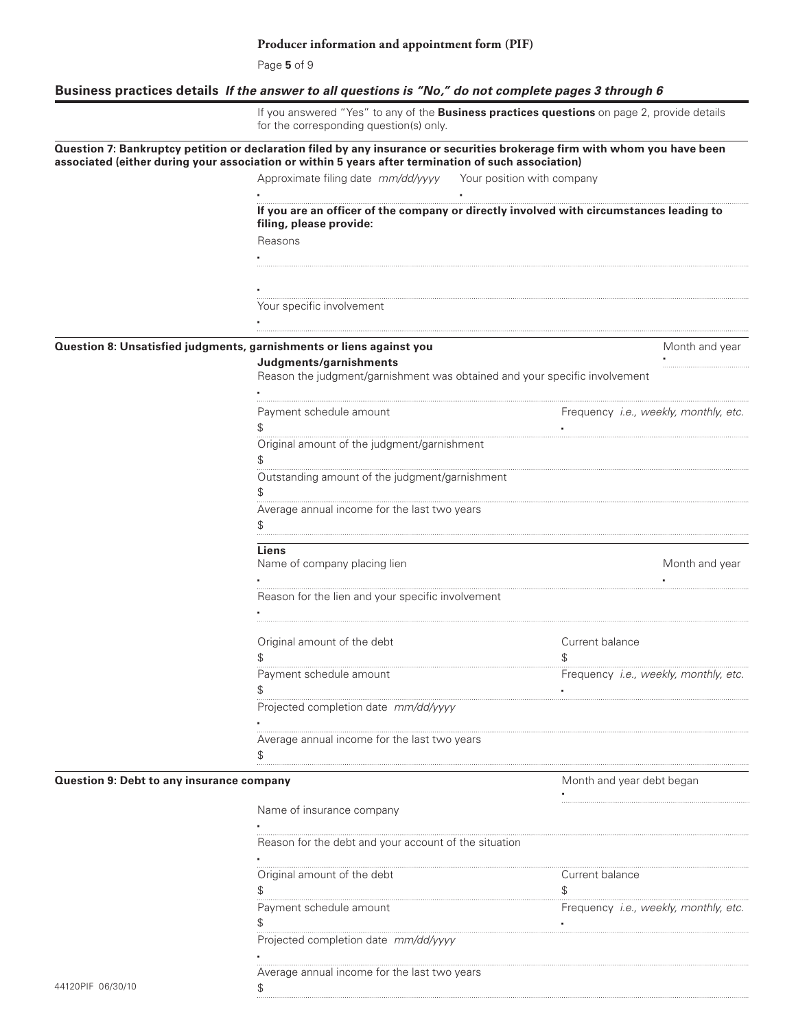Page **5** of 9

# **Business practices details** *If the answer to all questions is "No," do not complete pages 3 through 6*

|                                           | for the corresponding question(s) only.                                                                                                                                                                                           | If you answered "Yes" to any of the <b>Business practices questions</b> on page 2, provide details |
|-------------------------------------------|-----------------------------------------------------------------------------------------------------------------------------------------------------------------------------------------------------------------------------------|----------------------------------------------------------------------------------------------------|
|                                           | Question 7: Bankruptcy petition or declaration filed by any insurance or securities brokerage firm with whom you have been<br>associated (either during your association or within 5 years after termination of such association) |                                                                                                    |
|                                           | Approximate filing date mm/dd/yyyy Your position with company                                                                                                                                                                     |                                                                                                    |
|                                           |                                                                                                                                                                                                                                   |                                                                                                    |
|                                           | filing, please provide:                                                                                                                                                                                                           | If you are an officer of the company or directly involved with circumstances leading to            |
|                                           | Reasons                                                                                                                                                                                                                           |                                                                                                    |
|                                           |                                                                                                                                                                                                                                   |                                                                                                    |
|                                           |                                                                                                                                                                                                                                   |                                                                                                    |
|                                           |                                                                                                                                                                                                                                   |                                                                                                    |
|                                           | Your specific involvement                                                                                                                                                                                                         |                                                                                                    |
|                                           |                                                                                                                                                                                                                                   |                                                                                                    |
|                                           | Question 8: Unsatisfied judgments, garnishments or liens against you                                                                                                                                                              | Month and year                                                                                     |
|                                           | Judgments/garnishments                                                                                                                                                                                                            |                                                                                                    |
|                                           | Reason the judgment/garnishment was obtained and your specific involvement                                                                                                                                                        |                                                                                                    |
|                                           | Payment schedule amount                                                                                                                                                                                                           | Frequency <i>i.e., weekly, monthly, etc.</i>                                                       |
|                                           | \$<br>Original amount of the judgment/garnishment                                                                                                                                                                                 |                                                                                                    |
|                                           | Outstanding amount of the judgment/garnishment                                                                                                                                                                                    |                                                                                                    |
|                                           | Average annual income for the last two years                                                                                                                                                                                      |                                                                                                    |
|                                           | Liens                                                                                                                                                                                                                             |                                                                                                    |
|                                           | Name of company placing lien                                                                                                                                                                                                      | Month and year                                                                                     |
|                                           | Reason for the lien and your specific involvement                                                                                                                                                                                 |                                                                                                    |
|                                           |                                                                                                                                                                                                                                   |                                                                                                    |
|                                           | Original amount of the debt                                                                                                                                                                                                       | Current balance                                                                                    |
|                                           |                                                                                                                                                                                                                                   | \$.                                                                                                |
|                                           | Payment schedule amount                                                                                                                                                                                                           | Frequency i.e., weekly, monthly, etc.                                                              |
|                                           | Projected completion date mm/dd/yyyy                                                                                                                                                                                              |                                                                                                    |
|                                           | Average annual income for the last two years<br>\$                                                                                                                                                                                |                                                                                                    |
| Question 9: Debt to any insurance company |                                                                                                                                                                                                                                   | Month and year debt began                                                                          |
|                                           | Name of insurance company                                                                                                                                                                                                         |                                                                                                    |
|                                           | Reason for the debt and your account of the situation                                                                                                                                                                             |                                                                                                    |
|                                           |                                                                                                                                                                                                                                   |                                                                                                    |
|                                           | Original amount of the debt                                                                                                                                                                                                       | Current balance<br>\$                                                                              |
|                                           | Payment schedule amount                                                                                                                                                                                                           | Frequency i.e., weekly, monthly, etc.                                                              |
|                                           | Projected completion date mm/dd/yyyy                                                                                                                                                                                              |                                                                                                    |
| 44120PIF 06/30/10                         | Average annual income for the last two years<br>\$                                                                                                                                                                                |                                                                                                    |
|                                           |                                                                                                                                                                                                                                   |                                                                                                    |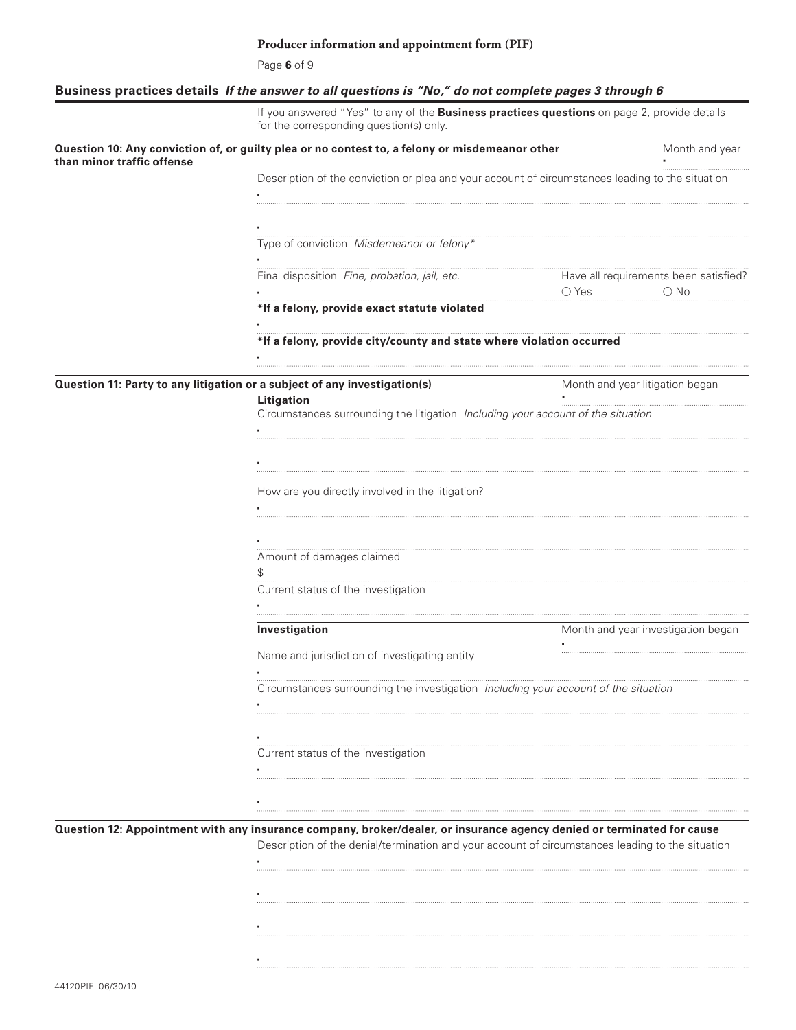Page **6** of 9

# **Business practices details** *If the answer to all questions is "No," do not complete pages 3 through 6*

|                            | If you answered "Yes" to any of the Business practices questions on page 2, provide details<br>for the corresponding question(s) only.                                                                                         |                                                                          |
|----------------------------|--------------------------------------------------------------------------------------------------------------------------------------------------------------------------------------------------------------------------------|--------------------------------------------------------------------------|
| than minor traffic offense | Question 10: Any conviction of, or guilty plea or no contest to, a felony or misdemeanor other                                                                                                                                 | Month and year                                                           |
|                            | Description of the conviction or plea and your account of circumstances leading to the situation                                                                                                                               |                                                                          |
|                            |                                                                                                                                                                                                                                |                                                                          |
|                            |                                                                                                                                                                                                                                |                                                                          |
|                            | Type of conviction Misdemeanor or felony* The contract of the contract of the convertible material of the contract of the contract of the contract of the contract of the contract of the contract of the contract of the cont |                                                                          |
|                            |                                                                                                                                                                                                                                |                                                                          |
|                            | Final disposition Fine, probation, jail, etc.                                                                                                                                                                                  | Have all requirements been satisfied?<br>$\bigcirc$ Yes<br>$\bigcirc$ No |
|                            | *If a felony, provide exact statute violated                                                                                                                                                                                   |                                                                          |
|                            | *If a felony, provide city/county and state where violation occurred                                                                                                                                                           |                                                                          |
|                            | Question 11: Party to any litigation or a subject of any investigation(s)                                                                                                                                                      | Month and year litigation began                                          |
|                            | Litigation                                                                                                                                                                                                                     |                                                                          |
|                            | Circumstances surrounding the litigation Including your account of the situation                                                                                                                                               |                                                                          |
|                            |                                                                                                                                                                                                                                |                                                                          |
|                            |                                                                                                                                                                                                                                |                                                                          |
|                            |                                                                                                                                                                                                                                |                                                                          |
|                            | How are you directly involved in the litigation?                                                                                                                                                                               |                                                                          |
|                            |                                                                                                                                                                                                                                |                                                                          |
|                            |                                                                                                                                                                                                                                |                                                                          |
|                            | Amount of damages claimed                                                                                                                                                                                                      |                                                                          |
|                            | \$                                                                                                                                                                                                                             |                                                                          |
|                            | Current status of the investigation                                                                                                                                                                                            |                                                                          |
|                            | Investigation                                                                                                                                                                                                                  | Month and year investigation began                                       |
|                            | Name and jurisdiction of investigating entity                                                                                                                                                                                  |                                                                          |
|                            | Circumstances surrounding the investigation Including your account of the situation                                                                                                                                            |                                                                          |
|                            |                                                                                                                                                                                                                                |                                                                          |
|                            |                                                                                                                                                                                                                                |                                                                          |
|                            | Current status of the investigation                                                                                                                                                                                            |                                                                          |
|                            |                                                                                                                                                                                                                                |                                                                          |
|                            |                                                                                                                                                                                                                                |                                                                          |
|                            |                                                                                                                                                                                                                                |                                                                          |
|                            | Question 12: Appointment with any insurance company, broker/dealer, or insurance agency denied or terminated for cause                                                                                                         |                                                                          |
|                            | Description of the denial/termination and your account of circumstances leading to the situation                                                                                                                               |                                                                          |
|                            |                                                                                                                                                                                                                                |                                                                          |
|                            |                                                                                                                                                                                                                                |                                                                          |
|                            |                                                                                                                                                                                                                                |                                                                          |
|                            |                                                                                                                                                                                                                                |                                                                          |
|                            |                                                                                                                                                                                                                                |                                                                          |

▪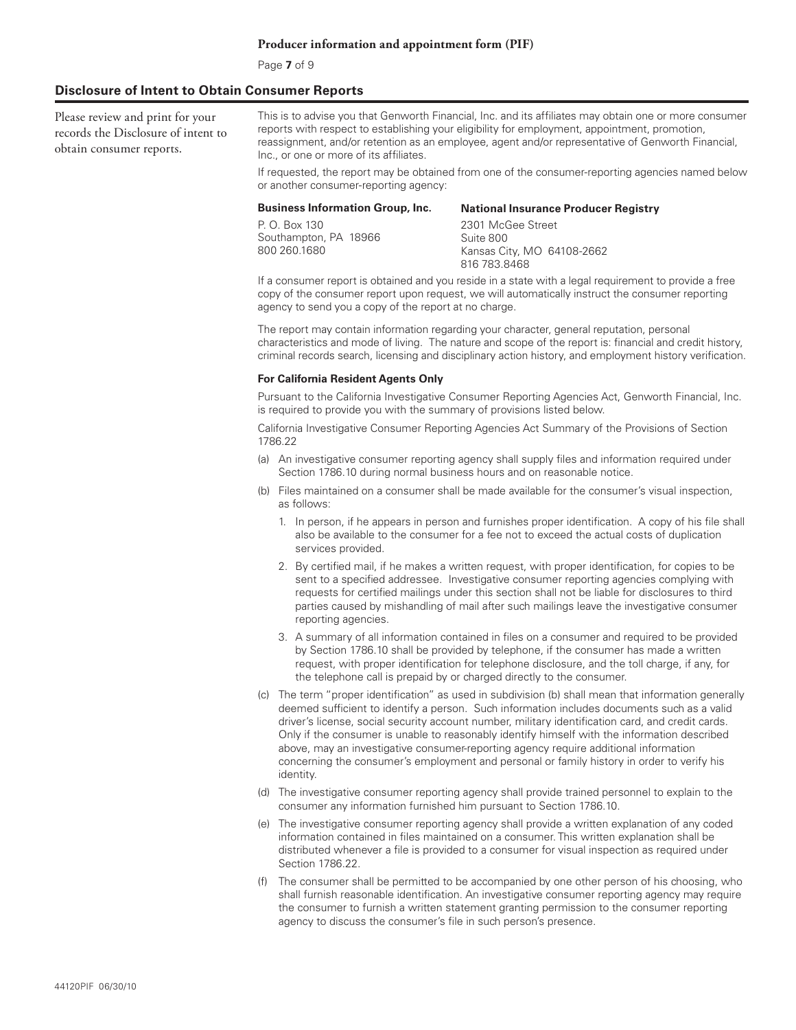Page **7** of 9

#### **Disclosure of Intent to Obtain Consumer Reports**

Please review and print for your records the Disclosure of intent to obtain consumer reports.

This is to advise you that Genworth Financial, Inc. and its affiliates may obtain one or more consumer reports with respect to establishing your eligibility for employment, appointment, promotion, reassignment, and/or retention as an employee, agent and/or representative of Genworth Financial, Inc., or one or more of its affiliates.

If requested, the report may be obtained from one of the consumer-reporting agencies named below or another consumer-reporting agency:

#### **Business Information Group, Inc.**

P. O. Box 130 Southampton, PA 18966 800 260.1680 **National Insurance Producer Registry** 2301 McGee Street Suite 800 Kansas City, MO 64108-2662 816 783.8468

If a consumer report is obtained and you reside in a state with a legal requirement to provide a free copy of the consumer report upon request, we will automatically instruct the consumer reporting agency to send you a copy of the report at no charge.

The report may contain information regarding your character, general reputation, personal characteristics and mode of living. The nature and scope of the report is: financial and credit history, criminal records search, licensing and disciplinary action history, and employment history verification.

#### **For California Resident Agents Only**

Pursuant to the California Investigative Consumer Reporting Agencies Act, Genworth Financial, Inc. is required to provide you with the summary of provisions listed below.

California Investigative Consumer Reporting Agencies Act Summary of the Provisions of Section 1786.22

- (a) An investigative consumer reporting agency shall supply files and information required under Section 1786.10 during normal business hours and on reasonable notice.
- (b) Files maintained on a consumer shall be made available for the consumer's visual inspection, as follows:
	- 1. In person, if he appears in person and furnishes proper identification. A copy of his file shall also be available to the consumer for a fee not to exceed the actual costs of duplication services provided.
	- 2. By certified mail, if he makes a written request, with proper identification, for copies to be sent to a specified addressee. Investigative consumer reporting agencies complying with requests for certified mailings under this section shall not be liable for disclosures to third parties caused by mishandling of mail after such mailings leave the investigative consumer reporting agencies.
	- 3. A summary of all information contained in files on a consumer and required to be provided by Section 1786.10 shall be provided by telephone, if the consumer has made a written request, with proper identification for telephone disclosure, and the toll charge, if any, for the telephone call is prepaid by or charged directly to the consumer.
- (c) The term "proper identification" as used in subdivision (b) shall mean that information generally deemed sufficient to identify a person. Such information includes documents such as a valid driver's license, social security account number, military identification card, and credit cards. Only if the consumer is unable to reasonably identify himself with the information described above, may an investigative consumer-reporting agency require additional information concerning the consumer's employment and personal or family history in order to verify his identity.
- (d) The investigative consumer reporting agency shall provide trained personnel to explain to the consumer any information furnished him pursuant to Section 1786.10.
- (e) The investigative consumer reporting agency shall provide a written explanation of any coded information contained in files maintained on a consumer. This written explanation shall be distributed whenever a file is provided to a consumer for visual inspection as required under Section 1786.22.
- (f) The consumer shall be permitted to be accompanied by one other person of his choosing, who shall furnish reasonable identification. An investigative consumer reporting agency may require the consumer to furnish a written statement granting permission to the consumer reporting agency to discuss the consumer's file in such person's presence.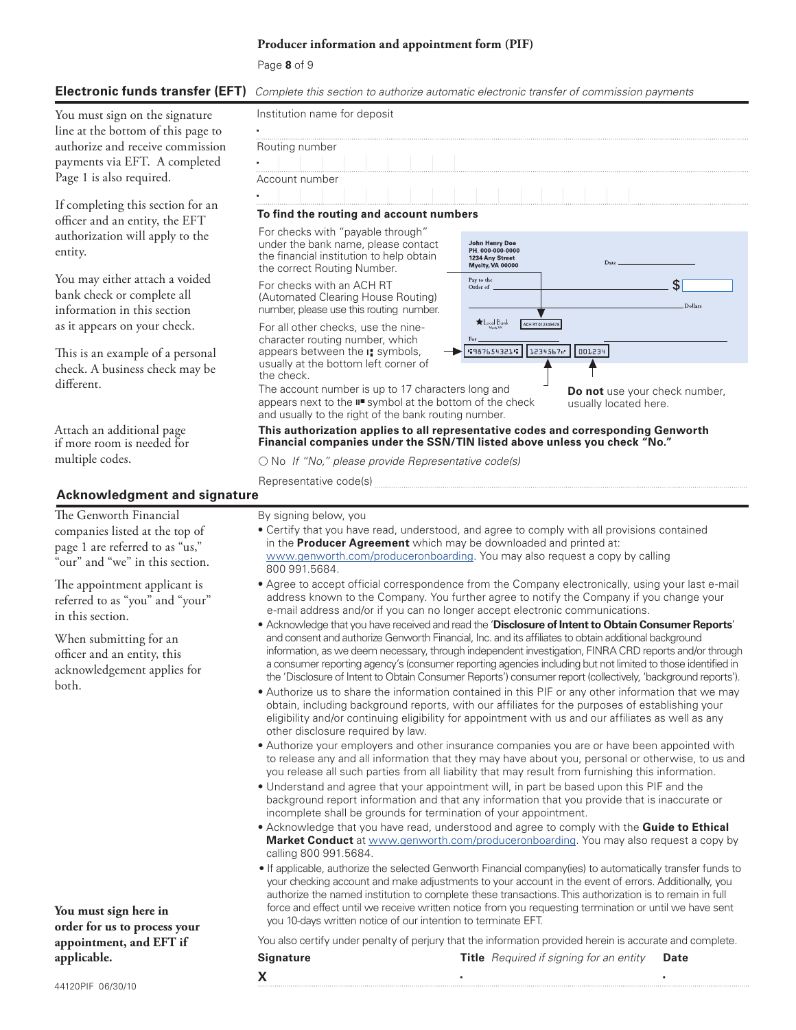Page **8** of 9

### **Electronic funds transfer (EFT)** *Complete this section to authorize automatic electronic transfer of commission payments*

You must sign on the signature line at the bottom of this page to authorize and receive commission payments via EFT. A completed Page 1 is also required.

If completing this section for an officer and an entity, the EFT authorization will apply to the entity.

You may either attach a voided bank check or complete all information in this section as it appears on your check.

This is an example of a personal check. A business check may be different.

Attach an additional page if more room is needed for multiple codes.

# **Acknowledgment and signature**

The Genworth Financial companies listed at the top of page 1 are referred to as "us," "our" and "we" in this section.

The appointment applicant is referred to as "you" and "your" in this section.

When submitting for an officer and an entity, this acknowledgement applies for both.

**You must sign here in order for us to process your appointment, and EFT if applicable.**

| Institution name for deposit                                                                                   |                                                                          |      |  |
|----------------------------------------------------------------------------------------------------------------|--------------------------------------------------------------------------|------|--|
|                                                                                                                |                                                                          |      |  |
| Routing number                                                                                                 |                                                                          |      |  |
|                                                                                                                |                                                                          |      |  |
| Account number                                                                                                 |                                                                          |      |  |
|                                                                                                                |                                                                          |      |  |
| To find the routing and account numbers                                                                        |                                                                          |      |  |
| For checks with "payable through"                                                                              |                                                                          |      |  |
| under the bank name, please contact<br>the financial institution to help obtain<br>the correct Routing Number. | John Henry Doe<br>PH 000-000-0000<br>1234 Any Street<br>Mycity, VA 00000 | Date |  |

For checks with an ACH RT (Automated Clearing House Routing) number, please use this routing number.

For all other checks, use the ninecharacter routing number, which appears between the **I¦** symbols, usually at the bottom left corner of the check.

The account number is up to 17 characters long and appears next to the **II**◾ symbol at the bottom of the check and usually to the right of the bank routing number.

**Do not** use your check number, usually located here.

 $s<sub>1</sub>$ 

Dollars

**This authorization applies to all representative codes and corresponding Genworth Financial companies under the SSN/TIN listed above unless you check "No."**

Pay to the

Order of

 $\bigstar$  Local Bank

ACH RT 012345678

"387654321" 1234567" 001234

○ No *If "No," please provide Representative code(s)*

Representative code(s)

By signing below, you

- Certify that you have read, understood, and agree to comply with all provisions contained in the **Producer Agreement** which may be downloaded and printed at: www.genworth.com/produceronboarding. You may also request a copy by calling 800 991.5684.
- Agree to accept official correspondence from the Company electronically, using your last e-mail address known to the Company. You further agree to notify the Company if you change your e-mail address and/or if you can no longer accept electronic communications.
- Acknowledge that you have received and read the '**Disclosure of Intent to Obtain Consumer Reports**' and consent and authorize Genworth Financial, Inc. and its affiliates to obtain additional background information, as we deem necessary, through independent investigation, FINRA CRD reports and/or through a consumer reporting agency's (consumer reporting agencies including but not limited to those identified in the 'Disclosure of Intent to Obtain Consumer Reports') consumer report (collectively, 'background reports').
- Authorize us to share the information contained in this PIF or any other information that we may obtain, including background reports, with our affiliates for the purposes of establishing your eligibility and/or continuing eligibility for appointment with us and our affiliates as well as any other disclosure required by law.
- Authorize your employers and other insurance companies you are or have been appointed with to release any and all information that they may have about you, personal or otherwise, to us and you release all such parties from all liability that may result from furnishing this information.
- Understand and agree that your appointment will, in part be based upon this PIF and the background report information and that any information that you provide that is inaccurate or incomplete shall be grounds for termination of your appointment.
- Acknowledge that you have read, understood and agree to comply with the **Guide to Ethical Market Conduct** at www.genworth.com/produceronboarding. You may also request a copy by calling 800 991.5684.
- If applicable, authorize the selected Genworth Financial company(ies) to automatically transfer funds to your checking account and make adjustments to your account in the event of errors. Additionally, you authorize the named institution to complete these transactions. This authorization is to remain in full force and effect until we receive written notice from you requesting termination or until we have sent you 10-days written notice of our intention to terminate EFT.

You also certify under penalty of perjury that the information provided herein is accurate and complete. **Signature Title** *Required if signing for an entity* **Date**

**X** ▪ ▪